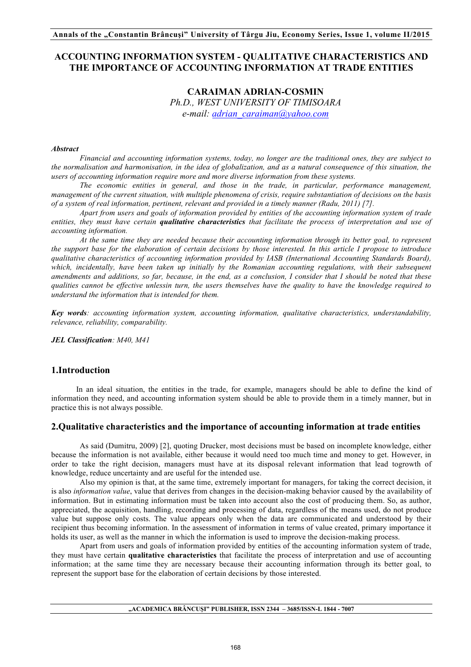# **ACCOUNTING INFORMATION SYSTEM - QUALITATIVE CHARACTERISTICS AND THE IMPORTANCE OF ACCOUNTING INFORMATION AT TRADE ENTITIES**

# **CARAIMAN ADRIAN-COSMIN** *Ph.D., WEST UNIVERSITY OF TIMISOARA e-mail: adrian\_caraiman@yahoo.com*

### *Abstract*

*Financial and accounting information systems, today, no longer are the traditional ones, they are subject to the normalisation and harmonisation, in the idea of globalization, and as a natural consequence of this situation, the users of accounting information require more and more diverse information from these systems.*

*The economic entities in general, and those in the trade, in particular, performance management, management of the current situation, with multiple phenomena of crisis, require substantiation of decisions on the basis of a system of real information, pertinent, relevant and provided in a timely manner (Radu, 2011) [7].*

*Apart from users and goals of information provided by entities of the accounting information system of trade entities, they must have certain qualitative characteristics that facilitate the process of interpretation and use of accounting information.*

*At the same time they are needed because their accounting information through its better goal, to represent the support base for the elaboration of certain decisions by those interested. In this article I propose to introduce qualitative characteristics of accounting information provided by IASB (International Accounting Standards Board),*  which, incidentally, have been taken up initially by the Romanian accounting regulations, with their subsequent *amendments and additions, so far, because, in the end, as a conclusion, I consider that I should be noted that these qualities cannot be effective unlessin turn, the users themselves have the quality to have the knowledge required to understand the information that is intended for them.*

*Key words: accounting information system, accounting information, qualitative characteristics, understandability, relevance, reliability, comparability.*

*JEL Classification: M40, M41*

## **1.Introduction**

In an ideal situation, the entities in the trade, for example, managers should be able to define the kind of information they need, and accounting information system should be able to provide them in a timely manner, but in practice this is not always possible.

## **2.Qualitative characteristics and the importance of accounting information at trade entities**

As said (Dumitru, 2009) [2], quoting Drucker, most decisions must be based on incomplete knowledge, either because the information is not available, either because it would need too much time and money to get. However, in order to take the right decision, managers must have at its disposal relevant information that lead togrowth of knowledge, reduce uncertainty and are useful for the intended use.

Also my opinion is that, at the same time, extremely important for managers, for taking the correct decision, it is also *information value*, value that derives from changes in the decision-making behavior caused by the availability of information. But in estimating information must be taken into account also the cost of producing them. So, as author, appreciated, the acquisition, handling, recording and processing of data, regardless of the means used, do not produce value but suppose only costs. The value appears only when the data are communicated and understood by their recipient thus becoming information. In the assessment of information in terms of value created, primary importance it holds its user, as well as the manner in which the information is used to improve the decision-making process.

Apart from users and goals of information provided by entities of the accounting information system of trade, they must have certain **qualitative characteristics** that facilitate the process of interpretation and use of accounting information; at the same time they are necessary because their accounting information through its better goal, to represent the support base for the elaboration of certain decisions by those interested.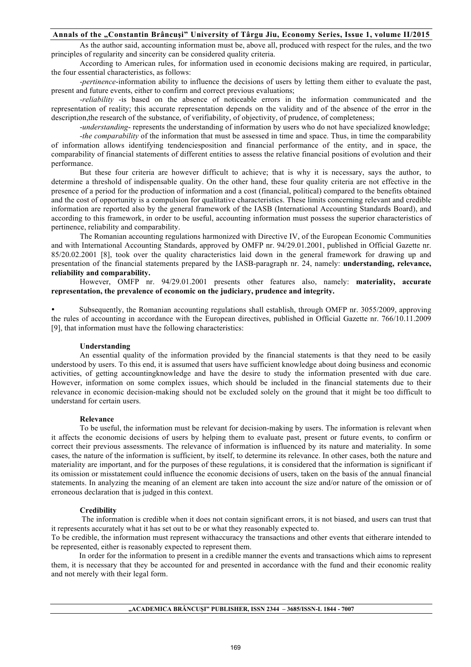As the author said, accounting information must be, above all, produced with respect for the rules, and the two principles of regularity and sincerity can be considered quality criteria.

According to American rules, for information used in economic decisions making are required, in particular, the four essential characteristics, as follows:

-*pertinence*-information ability to influence the decisions of users by letting them either to evaluate the past, present and future events, either to confirm and correct previous evaluations;

-*reliability* -is based on the absence of noticeable errors in the information communicated and the representation of reality; this accurate representation depends on the validity and of the absence of the error in the description,the research of the substance, of verifiability, of objectivity, of prudence, of completeness;

-*understanding*- represents the understanding of information by users who do not have specialized knowledge;

-*the comparability* of the information that must be assessed in time and space. Thus, in time the comparability of information allows identifying tendenciesposition and financial performance of the entity, and in space, the comparability of financial statements of different entities to assess the relative financial positions of evolution and their performance.

But these four criteria are however difficult to achieve; that is why it is necessary, says the author, to determine a threshold of indispensable quality. On the other hand, these four quality criteria are not effective in the presence of a period for the production of information and a cost (financial, political) compared to the benefits obtained and the cost of opportunity is a compulsion for qualitative characteristics. These limits concerning relevant and credible information are reported also by the general framework of the IASB (International Accounting Standards Board), and according to this framework, in order to be useful, accounting information must possess the superior characteristics of pertinence, reliability and comparability.

The Romanian accounting regulations harmonized with Directive IV, of the European Economic Communities and with International Accounting Standards, approved by OMFP nr. 94/29.01.2001, published in Official Gazette nr. 85/20.02.2001 [8], took over the quality characteristics laid down in the general framework for drawing up and presentation of the financial statements prepared by the IASB-paragraph nr. 24, namely: **understanding, relevance, reliability and comparability.**

However, OMFP nr. 94/29.01.2001 presents other features also, namely: **materiality, accurate representation, the prevalence of economic on the judiciary, prudence and integrity.**

• Subsequently, the Romanian accounting regulations shall establish, through OMFP nr. 3055/2009, approving the rules of accounting in accordance with the European directives, published in Official Gazette nr. 766/10.11.2009 [9], that information must have the following characteristics:

#### **Understanding**

An essential quality of the information provided by the financial statements is that they need to be easily understood by users. To this end, it is assumed that users have sufficient knowledge about doing business and economic activities, of getting accountingknowledge and have the desire to study the information presented with due care. However, information on some complex issues, which should be included in the financial statements due to their relevance in economic decision-making should not be excluded solely on the ground that it might be too difficult to understand for certain users.

#### **Relevance**

To be useful, the information must be relevant for decision-making by users. The information is relevant when it affects the economic decisions of users by helping them to evaluate past, present or future events, to confirm or correct their previous assessments. The relevance of information is influenced by its nature and materiality. In some cases, the nature of the information is sufficient, by itself, to determine its relevance. In other cases, both the nature and materiality are important, and for the purposes of these regulations, it is considered that the information is significant if its omission or misstatement could influence the economic decisions of users, taken on the basis of the annual financial statements. In analyzing the meaning of an element are taken into account the size and/or nature of the omission or of erroneous declaration that is judged in this context.

#### **Credibility**

The information is credible when it does not contain significant errors, it is not biased, and users can trust that it represents accurately what it has set out to be or what they reasonably expected to.

To be credible, the information must represent withaccuracy the transactions and other events that eitherare intended to be represented, either is reasonably expected to represent them.

In order for the information to present in a credible manner the events and transactions which aims to represent them, it is necessary that they be accounted for and presented in accordance with the fund and their economic reality and not merely with their legal form.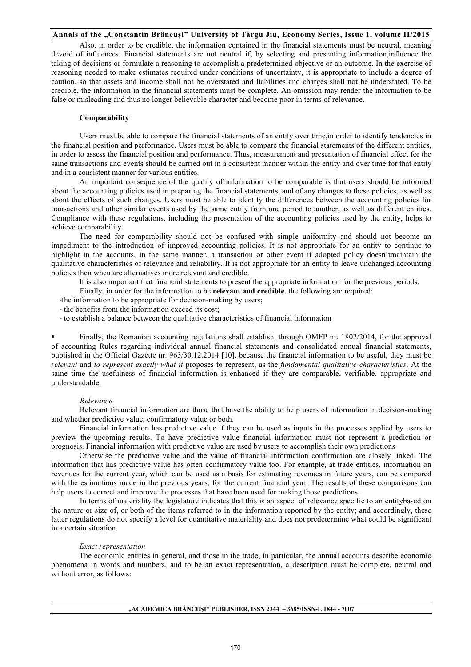Also, in order to be credible, the information contained in the financial statements must be neutral, meaning devoid of influences. Financial statements are not neutral if, by selecting and presenting information,influence the taking of decisions or formulate a reasoning to accomplish a predetermined objective or an outcome. In the exercise of reasoning needed to make estimates required under conditions of uncertainty, it is appropriate to include a degree of caution, so that assets and income shall not be overstated and liabilities and charges shall not be understated. To be credible, the information in the financial statements must be complete. An omission may render the information to be false or misleading and thus no longer believable character and become poor in terms of relevance.

## **Comparability**

Users must be able to compare the financial statements of an entity over time,in order to identify tendencies in the financial position and performance. Users must be able to compare the financial statements of the different entities, in order to assess the financial position and performance. Thus, measurement and presentation of financial effect for the same transactions and events should be carried out in a consistent manner within the entity and over time for that entity and in a consistent manner for various entities.

An important consequence of the quality of information to be comparable is that users should be informed about the accounting policies used in preparing the financial statements, and of any changes to these policies, as well as about the effects of such changes. Users must be able to identify the differences between the accounting policies for transactions and other similar events used by the same entity from one period to another, as well as different entities. Compliance with these regulations, including the presentation of the accounting policies used by the entity, helps to achieve comparability.

The need for comparability should not be confused with simple uniformity and should not become an impediment to the introduction of improved accounting policies. It is not appropriate for an entity to continue to highlight in the accounts, in the same manner, a transaction or other event if adopted policy doesn'tmaintain the qualitative characteristics of relevance and reliability. It is not appropriate for an entity to leave unchanged accounting policies then when are alternatives more relevant and credible.

It is also important that financial statements to present the appropriate information for the previous periods.

Finally, in order for the information to be **relevant and credible**, the following are required:

-the information to be appropriate for decision-making by users;

- the benefits from the information exceed its cost;

- to establish a balance between the qualitative characteristics of financial information

• Finally, the Romanian accounting regulations shall establish, through OMFP nr. 1802/2014, for the approval of accounting Rules regarding individual annual financial statements and consolidated annual financial statements, published in the Official Gazette nr. 963/30.12.2014 [10], because the financial information to be useful, they must be *relevant* and *to represent exactly what it* proposes to represent, as the *fundamental qualitative characteristics*. At the same time the usefulness of financial information is enhanced if they are comparable, verifiable, appropriate and understandable.

#### *Relevance*

Relevant financial information are those that have the ability to help users of information in decision-making and whether predictive value, confirmatory value or both.

Financial information has predictive value if they can be used as inputs in the processes applied by users to preview the upcoming results. To have predictive value financial information must not represent a prediction or prognosis. Financial information with predictive value are used by users to accomplish their own predictions

Otherwise the predictive value and the value of financial information confirmation are closely linked. The information that has predictive value has often confirmatory value too. For example, at trade entities, information on revenues for the current year, which can be used as a basis for estimating revenues in future years, can be compared with the estimations made in the previous years, for the current financial year. The results of these comparisons can help users to correct and improve the processes that have been used for making those predictions.

In terms of materiality the legislature indicates that this is an aspect of relevance specific to an entitybased on the nature or size of, or both of the items referred to in the information reported by the entity; and accordingly, these latter regulations do not specify a level for quantitative materiality and does not predetermine what could be significant in a certain situation.

## *Exact representation*

The economic entities in general, and those in the trade, in particular, the annual accounts describe economic phenomena in words and numbers, and to be an exact representation, a description must be complete, neutral and without error, as follows: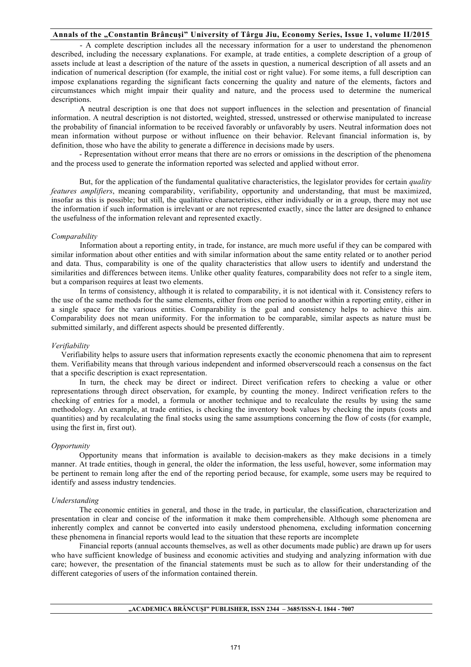- A complete description includes all the necessary information for a user to understand the phenomenon described, including the necessary explanations. For example, at trade entities, a complete description of a group of assets include at least a description of the nature of the assets in question, a numerical description of all assets and an indication of numerical description (for example, the initial cost or right value). For some items, a full description can impose explanations regarding the significant facts concerning the quality and nature of the elements, factors and circumstances which might impair their quality and nature, and the process used to determine the numerical descriptions.

A neutral description is one that does not support influences in the selection and presentation of financial information. A neutral description is not distorted, weighted, stressed, unstressed or otherwise manipulated to increase the probability of financial information to be received favorably or unfavorably by users. Neutral information does not mean information without purpose or without influence on their behavior. Relevant financial information is, by definition, those who have the ability to generate a difference in decisions made by users.

- Representation without error means that there are no errors or omissions in the description of the phenomena and the process used to generate the information reported was selected and applied without error.

But, for the application of the fundamental qualitative characteristics, the legislator provides for certain *quality features amplifiers*, meaning comparability, verifiability, opportunity and understanding, that must be maximized, insofar as this is possible; but still, the qualitative characteristics, either individually or in a group, there may not use the information if such information is irrelevant or are not represented exactly, since the latter are designed to enhance the usefulness of the information relevant and represented exactly.

#### *Comparability*

Information about a reporting entity, in trade, for instance, are much more useful if they can be compared with similar information about other entities and with similar information about the same entity related or to another period and data. Thus, comparability is one of the quality characteristics that allow users to identify and understand the similarities and differences between items. Unlike other quality features, comparability does not refer to a single item, but a comparison requires at least two elements.

In terms of consistency, although it is related to comparability, it is not identical with it. Consistency refers to the use of the same methods for the same elements, either from one period to another within a reporting entity, either in a single space for the various entities. Comparability is the goal and consistency helps to achieve this aim. Comparability does not mean uniformity. For the information to be comparable, similar aspects as nature must be submitted similarly, and different aspects should be presented differently.

### *Verifiability*

 Verifiability helps to assure users that information represents exactly the economic phenomena that aim to represent them. Verifiability means that through various independent and informed observerscould reach a consensus on the fact that a specific description is exact representation.

In turn, the check may be direct or indirect. Direct verification refers to checking a value or other representations through direct observation, for example, by counting the money. Indirect verification refers to the checking of entries for a model, a formula or another technique and to recalculate the results by using the same methodology. An example, at trade entities, is checking the inventory book values by checking the inputs (costs and quantities) and by recalculating the final stocks using the same assumptions concerning the flow of costs (for example, using the first in, first out).

#### *Opportunity*

Opportunity means that information is available to decision-makers as they make decisions in a timely manner. At trade entities, though in general, the older the information, the less useful, however, some information may be pertinent to remain long after the end of the reporting period because, for example, some users may be required to identify and assess industry tendencies.

#### *Understanding*

The economic entities in general, and those in the trade, in particular, the classification, characterization and presentation in clear and concise of the information it make them comprehensible. Although some phenomena are inherently complex and cannot be converted into easily understood phenomena, excluding information concerning these phenomena in financial reports would lead to the situation that these reports are incomplete

Financial reports (annual accounts themselves, as well as other documents made public) are drawn up for users who have sufficient knowledge of business and economic activities and studying and analyzing information with due care; however, the presentation of the financial statements must be such as to allow for their understanding of the different categories of users of the information contained therein.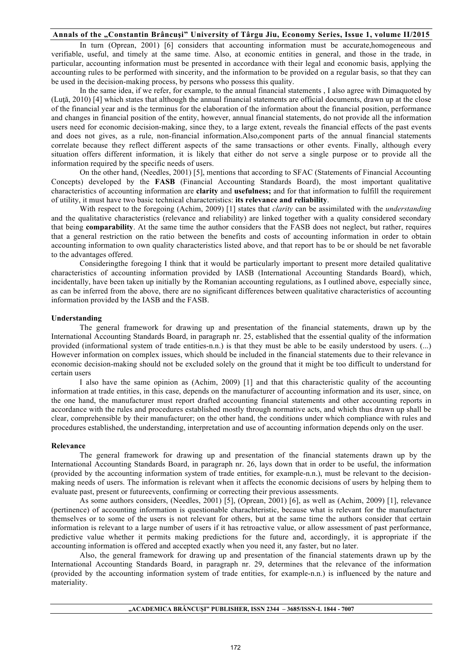In turn (Oprean, 2001) [6] considers that accounting information must be accurate,homogeneous and verifiable, useful, and timely at the same time. Also, at economic entities in general, and those in the trade, in particular, accounting information must be presented in accordance with their legal and economic basis, applying the accounting rules to be performed with sincerity, and the information to be provided on a regular basis, so that they can be used in the decision-making process, by persons who possess this quality.

In the same idea, if we refer, for example, to the annual financial statements , I also agree with Dimaquoted by (Luţă, 2010) [4] which states that although the annual financial statements are official documents, drawn up at the close of the financial year and is the terminus for the elaboration of the information about the financial position, performance and changes in financial position of the entity, however, annual financial statements, do not provide all the information users need for economic decision-making, since they, to a large extent, reveals the financial effects of the past events and does not gives, as a rule, non-financial information.Also,component parts of the annual financial statements correlate because they reflect different aspects of the same transactions or other events. Finally, although every situation offers different information, it is likely that either do not serve a single purpose or to provide all the information required by the specific needs of users.

On the other hand, (Needles, 2001) [5], mentions that according to SFAC (Statements of Financial Accounting Concepts) developed by the **FASB** (Financial Accounting Standards Board), the most important qualitative characteristics of accounting information are **clarity** and **usefulness;** and for that information to fulfill the requirement of utility, it must have two basic technical characteristics: **its relevance and reliability**.

With respect to the foregoing (Achim, 2009) [1] states that *clarity* can be assimilated with the *understanding* and the qualitative characteristics (relevance and reliability) are linked together with a quality considered secondary that being **comparability**. At the same time the author considers that the FASB does not neglect, but rather, requires that a general restriction on the ratio between the benefits and costs of accounting information in order to obtain accounting information to own quality characteristics listed above, and that report has to be or should be net favorable to the advantages offered.

Consideringthe foregoing I think that it would be particularly important to present more detailed qualitative characteristics of accounting information provided by IASB (International Accounting Standards Board), which, incidentally, have been taken up initially by the Romanian accounting regulations, as I outlined above, especially since, as can be inferred from the above, there are no significant differences between qualitative characteristics of accounting information provided by the IASB and the FASB.

#### **Understanding**

The general framework for drawing up and presentation of the financial statements, drawn up by the International Accounting Standards Board, in paragraph nr. 25, established that the essential quality of the information provided (informational system of trade entities-n.n.) is that they must be able to be easily understood by users. (...) However information on complex issues, which should be included in the financial statements due to their relevance in economic decision-making should not be excluded solely on the ground that it might be too difficult to understand for certain users

I also have the same opinion as (Achim, 2009) [1] and that this characteristic quality of the accounting information at trade entities, in this case, depends on the manufacturer of accounting information and its user, since, on the one hand, the manufacturer must report drafted accounting financial statements and other accounting reports in accordance with the rules and procedures established mostly through normative acts, and which thus drawn up shall be clear, comprehensible by their manufacturer; on the other hand, the conditions under which compliance with rules and procedures established, the understanding, interpretation and use of accounting information depends only on the user.

#### **Relevance**

The general framework for drawing up and presentation of the financial statements drawn up by the International Accounting Standards Board, in paragraph nr. 26, lays down that in order to be useful, the information (provided by the accounting information system of trade entities, for example-n.n.), must be relevant to the decisionmaking needs of users. The information is relevant when it affects the economic decisions of users by helping them to evaluate past, present or futureevents, confirming or correcting their previous assessments.

As some authors considers, (Needles, 2001) [5], (Oprean, 2001) [6], as well as (Achim, 2009) [1], relevance (pertinence) of accounting information is questionable charachteristic, because what is relevant for the manufacturer themselves or to some of the users is not relevant for others, but at the same time the authors consider that certain information is relevant to a large number of users if it has retroactive value, or allow assessment of past performance, predictive value whether it permits making predictions for the future and, accordingly, it is appropriate if the accounting information is offered and accepted exactly when you need it, any faster, but no later.

Also, the general framework for drawing up and presentation of the financial statements drawn up by the International Accounting Standards Board, in paragraph nr. 29, determines that the relevance of the information (provided by the accounting information system of trade entities, for example-n.n.) is influenced by the nature and materiality.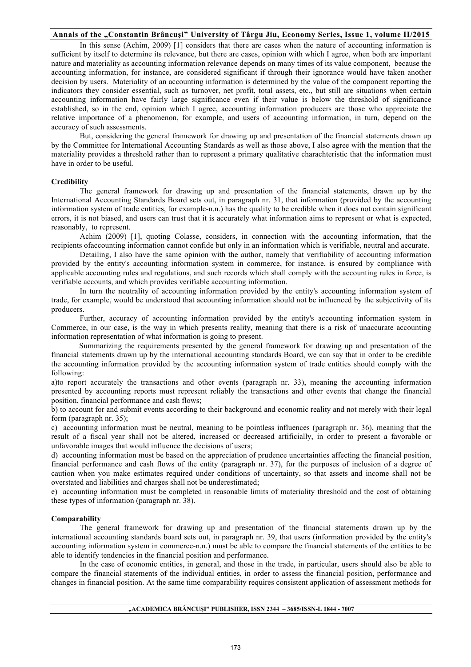In this sense (Achim, 2009) [1] considers that there are cases when the nature of accounting information is sufficient by itself to determine its relevance, but there are cases, opinion with which I agree, when both are important nature and materiality as accounting information relevance depends on many times of its value component, because the accounting information, for instance, are considered significant if through their ignorance would have taken another decision by users. Materiality of an accounting information is determined by the value of the component reporting the indicators they consider essential, such as turnover, net profit, total assets, etc., but still are situations when certain accounting information have fairly large significance even if their value is below the threshold of significance established, so in the end, opinion which I agree, accounting information producers are those who appreciate the relative importance of a phenomenon, for example, and users of accounting information, in turn, depend on the accuracy of such assessments.

But, considering the general framework for drawing up and presentation of the financial statements drawn up by the Committee for International Accounting Standards as well as those above, I also agree with the mention that the materiality provides a threshold rather than to represent a primary qualitative charachteristic that the information must have in order to be useful.

#### **Credibility**

The general framework for drawing up and presentation of the financial statements, drawn up by the International Accounting Standards Board sets out, in paragraph nr. 31, that information (provided by the accounting information system of trade entities, for example-n.n.) has the quality to be credible when it does not contain significant errors, it is not biased, and users can trust that it is accurately what information aims to represent or what is expected, reasonably, to represent.

Achim (2009) [1], quoting Colasse, considers, in connection with the accounting information, that the recipients ofaccounting information cannot confide but only in an information which is verifiable, neutral and accurate.

Detailing, I also have the same opinion with the author, namely that verifiability of accounting information provided by the entity's accounting information system in commerce, for instance, is ensured by compliance with applicable accounting rules and regulations, and such records which shall comply with the accounting rules in force, is verifiable accounts, and which provides verifiable accounting information.

In turn the neutrality of accounting information provided by the entity's accounting information system of trade, for example, would be understood that accounting information should not be influenced by the subjectivity of its producers.

Further, accuracy of accounting information provided by the entity's accounting information system in Commerce, in our case, is the way in which presents reality, meaning that there is a risk of unaccurate accounting information representation of what information is going to present.

Summarizing the requirements presented by the general framework for drawing up and presentation of the financial statements drawn up by the international accounting standards Board, we can say that in order to be credible the accounting information provided by the accounting information system of trade entities should comply with the following:

a)to report accurately the transactions and other events (paragraph nr. 33), meaning the accounting information presented by accounting reports must represent reliably the transactions and other events that change the financial position, financial performance and cash flows;

b) to account for and submit events according to their background and economic reality and not merely with their legal form (paragraph nr. 35);

c) accounting information must be neutral, meaning to be pointless influences (paragraph nr. 36), meaning that the result of a fiscal year shall not be altered, increased or decreased artificially, in order to present a favorable or unfavorable images that would influence the decisions of users;

d) accounting information must be based on the appreciation of prudence uncertainties affecting the financial position, financial performance and cash flows of the entity (paragraph nr. 37), for the purposes of inclusion of a degree of caution when you make estimates required under conditions of uncertainty, so that assets and income shall not be overstated and liabilities and charges shall not be underestimated;

e) accounting information must be completed in reasonable limits of materiality threshold and the cost of obtaining these types of information (paragraph nr. 38).

#### **Comparability**

The general framework for drawing up and presentation of the financial statements drawn up by the international accounting standards board sets out, in paragraph nr. 39, that users (information provided by the entity's accounting information system in commerce-n.n.) must be able to compare the financial statements of the entities to be able to identify tendencies in the financial position and performance.

In the case of economic entities, in general, and those in the trade, in particular, users should also be able to compare the financial statements of the individual entities, in order to assess the financial position, performance and changes in financial position. At the same time comparability requires consistent application of assessment methods for